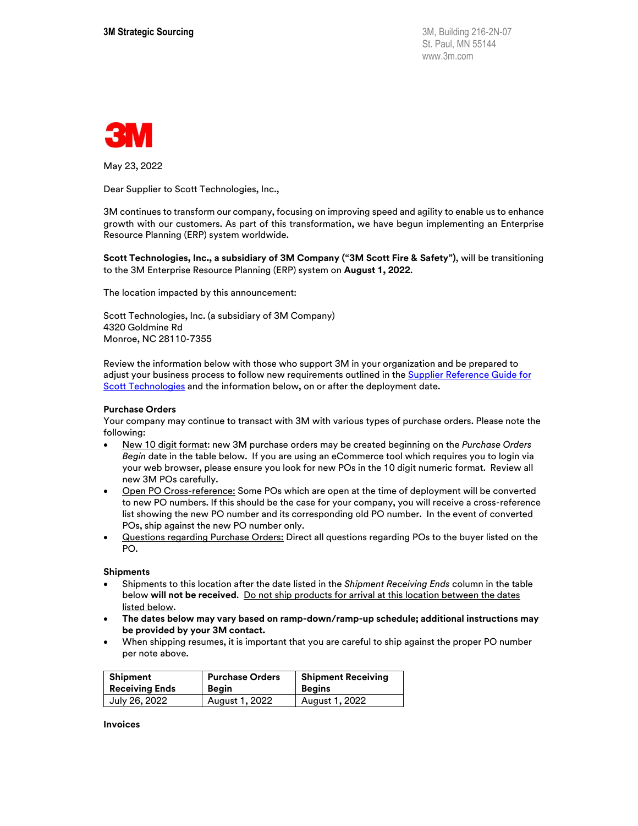

May 23, 2022

Dear Supplier to Scott Technologies, Inc.,

3M continues to transform our company, focusing on improving speed and agility to enable us to enhance growth with our customers. As part of this transformation, we have begun implementing an Enterprise Resource Planning (ERP) system worldwide.

**Scott Technologies, Inc., a subsidiary of 3M Company ("3M Scott Fire & Safety")**, will be transitioning to the 3M Enterprise Resource Planning (ERP) system on **August 1, 2022**.

The location impacted by this announcement:

Scott Technologies, Inc. (a subsidiary of 3M Company) 4320 Goldmine Rd Monroe, NC 28110-7355

Review the information below with those who support 3M in your organization and be prepared to adjust your business process to follow new requirements outlined in the **Supplier Reference Guide for** [Scott Technologies](https://multimedia.3m.com/mws/media/2078288O/supplier-reference-guide-for-scott-technologies-inc-erp-deployment.pdf) and the information below, on or after the deployment date.

## **Purchase Orders**

Your company may continue to transact with 3M with various types of purchase orders. Please note the following:

- New 10 digit format: new 3M purchase orders may be created beginning on the *Purchase Orders Begin* date in the table below. If you are using an eCommerce tool which requires you to login via your web browser, please ensure you look for new POs in the 10 digit numeric format. Review all new 3M POs carefully.
- Open PO Cross-reference: Some POs which are open at the time of deployment will be converted to new PO numbers. If this should be the case for your company, you will receive a cross-reference list showing the new PO number and its corresponding old PO number. In the event of converted POs, ship against the new PO number only.
- Questions regarding Purchase Orders: Direct all questions regarding POs to the buyer listed on the PO.

## **Shipments**

- Shipments to this location after the date listed in the *Shipment Receiving Ends* column in the table below will not be received. Do not ship products for arrival at this location between the dates listed below.
- **The dates below may vary based on ramp-down/ramp-up schedule; additional instructions may be provided by your 3M contact.**
- When shipping resumes, it is important that you are careful to ship against the proper PO number per note above.

| Shipment              | <b>Purchase Orders</b> | <b>Shipment Receiving</b> |
|-----------------------|------------------------|---------------------------|
| <b>Receiving Ends</b> | Beain                  | <b>Begins</b>             |
| July 26, 2022         | August 1, 2022         | August 1, 2022            |

**Invoices**